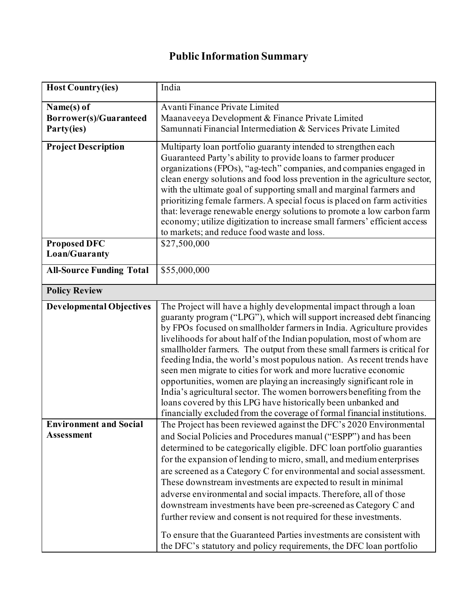## **Public Information Summary**

| <b>Host Country(ies)</b>        | India                                                                      |
|---------------------------------|----------------------------------------------------------------------------|
| Name(s) of                      | Avanti Finance Private Limited                                             |
| <b>Borrower(s)/Guaranteed</b>   | Maanaveeya Development & Finance Private Limited                           |
| Party(ies)                      | Samunnati Financial Intermediation & Services Private Limited              |
|                                 |                                                                            |
| <b>Project Description</b>      | Multiparty loan portfolio guaranty intended to strengthen each             |
|                                 | Guaranteed Party's ability to provide loans to farmer producer             |
|                                 | organizations (FPOs), "ag-tech" companies, and companies engaged in        |
|                                 | clean energy solutions and food loss prevention in the agriculture sector, |
|                                 | with the ultimate goal of supporting small and marginal farmers and        |
|                                 | prioritizing female farmers. A special focus is placed on farm activities  |
|                                 | that: leverage renewable energy solutions to promote a low carbon farm     |
|                                 | economy; utilize digitization to increase small farmers' efficient access  |
|                                 | to markets; and reduce food waste and loss.                                |
| <b>Proposed DFC</b>             | \$27,500,000                                                               |
| Loan/Guaranty                   |                                                                            |
| <b>All-Source Funding Total</b> | \$55,000,000                                                               |
|                                 |                                                                            |
| <b>Policy Review</b>            |                                                                            |
| <b>Developmental Objectives</b> | The Project will have a highly developmental impact through a loan         |
|                                 | guaranty program ("LPG"), which will support increased debt financing      |
|                                 | by FPOs focused on smallholder farmers in India. Agriculture provides      |
|                                 | livelihoods for about half of the Indian population, most of whom are      |
|                                 | smallholder farmers. The output from these small farmers is critical for   |
|                                 | feeding India, the world's most populous nation. As recent trends have     |
|                                 | seen men migrate to cities for work and more lucrative economic            |
|                                 | opportunities, women are playing an increasingly significant role in       |
|                                 | India's agricultural sector. The women borrowers benefiting from the       |
|                                 | loans covered by this LPG have historically been unbanked and              |
|                                 | financially excluded from the coverage of formal financial institutions.   |
| <b>Environment and Social</b>   | The Project has been reviewed against the DFC's 2020 Environmental         |
| <b>Assessment</b>               | and Social Policies and Procedures manual ("ESPP") and has been            |
|                                 | determined to be categorically eligible. DFC loan portfolio guaranties     |
|                                 | for the expansion of lending to micro, small, and medium enterprises       |
|                                 | are screened as a Category C for environmental and social assessment.      |
|                                 | These downstream investments are expected to result in minimal             |
|                                 | adverse environmental and social impacts. Therefore, all of those          |
|                                 | downstream investments have been pre-screened as Category C and            |
|                                 | further review and consent is not required for these investments.          |
|                                 |                                                                            |
|                                 | To ensure that the Guaranteed Parties investments are consistent with      |
|                                 | the DFC's statutory and policy requirements, the DFC loan portfolio        |